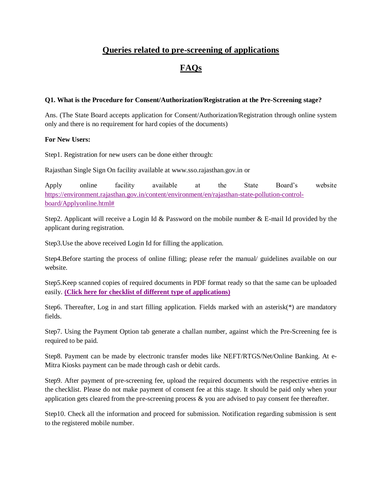## **Queries related to pre-screening of applications**

# **FAQs**

## **Q1. What is the Procedure for Consent/Authorization/Registration at the Pre-Screening stage?**

Ans. (The State Board accepts application for Consent/Authorization/Registration through online system only and there is no requirement for hard copies of the documents)

### **For New Users:**

Step1. Registration for new users can be done either through:

Rajasthan Single Sign On facility available at [www.sso.rajasthan.gov.in](http://www.sso.rajasthan.gov.in/) or

Apply online facility available at the State Board's website [https://environment.rajasthan.gov.in/content/environment/en/rajasthan-state-pollution-control](https://environment.rajasthan.gov.in/content/environment/en/rajasthan-state-pollution-control-board/Applyonline.html)[board/Applyonline.html#](https://environment.rajasthan.gov.in/content/environment/en/rajasthan-state-pollution-control-board/Applyonline.html)

Step2. Applicant will receive a Login Id & Password on the mobile number & E-mail Id provided by the applicant during registration.

Step3.Use the above received Login Id for filling the application.

Step4.Before starting the process of online filling; please refer the manual/ guidelines available on our website.

Step5.Keep scanned copies of required documents in PDF format ready so that the same can be uploaded easily. **(Click [here for checklist of different type of applications\)](https://environment.rajasthan.gov.in/content/dam/environment/RPCB/Prescreening/Checklist.pdf)**

Step6. Thereafter, Log in and start filling application. Fields marked with an asterisk( $*$ ) are mandatory fields.

Step7. Using the Payment Option tab generate a challan number, against which the Pre-Screening fee is required to be paid.

Step8. Payment can be made by electronic transfer modes like NEFT/RTGS/Net/Online Banking. At e-Mitra Kiosks payment can be made through cash or debit cards.

Step9. After payment of pre-screening fee, upload the required documents with the respective entries in the checklist. Please do not make payment of consent fee at this stage. It should be paid only when your application gets cleared from the pre-screening process  $\&$  you are advised to pay consent fee thereafter.

Step10. Check all the information and proceed for submission. Notification regarding submission is sent to the registered mobile number.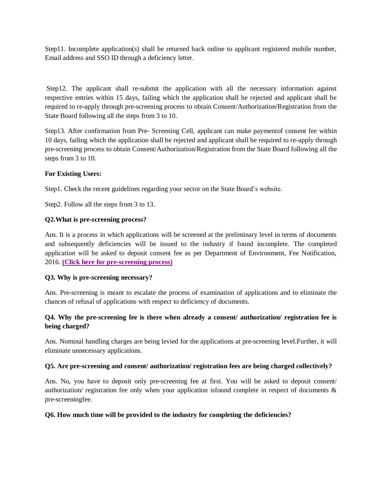Step11. Incomplete application(s) shall be returned back online to applicant registered mobile number, Email address and SSO ID through a deficiency letter.

Step12. The applicant shall re-submit the application with all the necessary information against respective entries within 15 days, failing which the application shall be rejected and applicant shall be required to re-apply through pre-screening process to obtain Consent/Authorization/Registration from the State Board following all the steps from 3 to 10.

Step13. After confirmation from Pre- Screening Cell, applicant can make paymentof consent fee within 10 days, failing which the application shall be rejected and applicant shall be required to re-apply through pre-screening process to obtain Consent/Authorization/Registration from the State Board following all the steps from 3 to 10.

## **For Existing Users:**

Step1. Check the recent guidelines regarding your sector on the State Board's website.

Step2. Follow all the steps from 3 to 13.

### **Q2.What is pre-screening process?**

Ans. It is a process in which applications will be screened at the preliminary level in terms of documents and subsequently deficiencies will be issued to the industry if found incomplete. The completed application will be asked to deposit consent fee as per Department of Environment, Fee Notification, 2016. **(Click [here for pre-screening process\)](https://environment.rajasthan.gov.in/content/dam/environment/RPCB/Prescreening/Flow%20Chart%20english%20pdf.pdf)**

#### **Q3. Why is pre-screening necessary?**

Ans. Pre-screening is meant to escalate the process of examination of applications and to eliminate the chances of refusal of applications with respect to deficiency of documents.

## **Q4. Why the pre-screening fee is there when already a consent/ authorization/ registration fee is being charged?**

Ans. Nominal handling charges are being levied for the applications at pre-screening level.Further, it will eliminate unnecessary applications.

## **Q5. Are pre-screening and consent/ authorization/ registration fees are being charged collectively?**

Ans. No, you have to deposit only pre-screening fee at first. You will be asked to deposit consent/ authorization/ registration fee only when your application isfound complete in respect of documents & pre-screeningfee.

#### **Q6. How much time will be provided to the industry for completing the deficiencies?**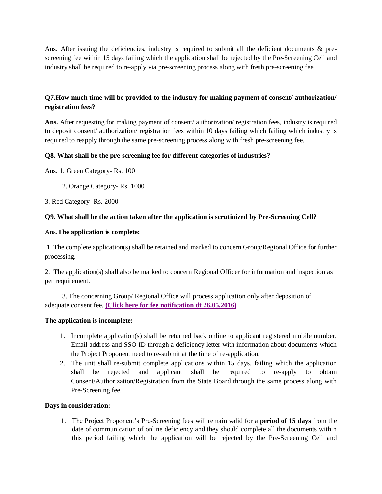Ans. After issuing the deficiencies, industry is required to submit all the deficient documents & prescreening fee within 15 days failing which the application shall be rejected by the Pre-Screening Cell and industry shall be required to re-apply via pre-screening process along with fresh pre-screening fee.

## **Q7.How much time will be provided to the industry for making payment of consent/ authorization/ registration fees?**

**Ans.** After requesting for making payment of consent/ authorization/ registration fees, industry is required to deposit consent/ authorization/ registration fees within 10 days failing which failing which industry is required to reapply through the same pre-screening process along with fresh pre-screening fee.

### **Q8. What shall be the pre-screening fee for different categories of industries?**

Ans. 1. Green Category- Rs. 100

2. Orange Category- Rs. 1000

3. Red Category- Rs. 2000

#### **Q9. What shall be the action taken after the application is scrutinized by Pre-Screening Cell?**

#### Ans.**The application is complete:**

1. The complete application(s) shall be retained and marked to concern Group/Regional Office for further processing.

2. The application(s) shall also be marked to concern Regional Officer for information and inspection as per requirement.

 3. The concerning Group/ Regional Office will process application only after deposition of adequate consent fee. **[\(Click here for fee notification](https://environment.rajasthan.gov.in/content/dam/environment/RPCB/Prescreening/Fee%20Notifaction%2026%20May%202016.PDF) dt 26.05.2016)**

#### **The application is incomplete:**

- 1. Incomplete application(s) shall be returned back online to applicant registered mobile number, Email address and SSO ID through a deficiency letter with information about documents which the Project Proponent need to re-submit at the time of re-application.
- 2. The unit shall re-submit complete applications within 15 days, failing which the application shall be rejected and applicant shall be required to re-apply to obtain Consent/Authorization/Registration from the State Board through the same process along with Pre-Screening fee.

#### **Days in consideration:**

1. The Project Proponent's Pre-Screening fees will remain valid for a **period of 15 days** from the date of communication of online deficiency and they should complete all the documents within this period failing which the application will be rejected by the Pre-Screening Cell and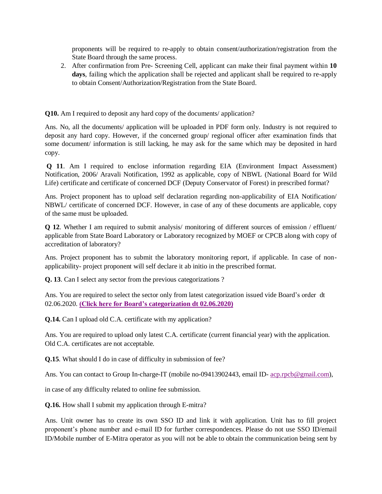proponents will be required to re-apply to obtain consent/authorization/registration from the State Board through the same process.

2. After confirmation from Pre- Screening Cell, applicant can make their final payment within **10**  days, failing which the application shall be rejected and applicant shall be required to re-apply to obtain Consent/Authorization/Registration from the State Board.

**Q10.** Am I required to deposit any hard copy of the documents/ application?

Ans. No, all the documents/ application will be uploaded in PDF form only. Industry is not required to deposit any hard copy. However, if the concerned group/ regional officer after examination finds that some document/ information is still lacking, he may ask for the same which may be deposited in hard copy.

**Q 11**. Am I required to enclose information regarding EIA (Environment Impact Assessment) Notification, 2006/ Aravali Notification, 1992 as applicable, copy of NBWL (National Board for Wild Life) certificate and certificate of concerned DCF (Deputy Conservator of Forest) in prescribed format?

Ans. Project proponent has to upload self declaration regarding non-applicability of EIA Notification/ NBWL/ certificate of concerned DCF. However, in case of any of these documents are applicable, copy of the same must be uploaded.

**Q 12**. Whether I am required to submit analysis/ monitoring of different sources of emission / effluent/ applicable from State Board Laboratory or Laboratory recognized by MOEF or CPCB along with copy of accreditation of laboratory?

Ans. Project proponent has to submit the laboratory monitoring report, if applicable. In case of nonapplicability- project proponent will self declare it ab initio in the prescribed format.

**Q. 13**. Can I select any sector from the previous categorizations ?

Ans. You are required to select the sector only from latest categorization issued vide Board's order dt 02.06.2020. **[\(Click here for Board's categorization dt 02.06.2020\)](https://environment.rajasthan.gov.in/content/dam/environment/RPCB/Prescreening/categorization.pdf)**

**Q.14.** Can I upload old C.A. certificate with my application?

Ans. You are required to upload only latest C.A. certificate (current financial year) with the application. Old C.A. certificates are not acceptable.

**Q.15**. What should I do in case of difficulty in submission of fee?

Ans. You can contact to Group In-charge-IT (mobile no-09413902443, email ID- [acp.rpcb@gmail.com\)](mailto:acp.rpcb@gmail.com),

in case of any difficulty related to online fee submission.

**Q.16.** How shall I submit my application through E-mitra?

Ans. Unit owner has to create its own SSO ID and link it with application. Unit has to fill project proponent's phone number and e-mail ID for further correspondences. Please do not use SSO ID/email ID/Mobile number of E-Mitra operator as you will not be able to obtain the communication being sent by